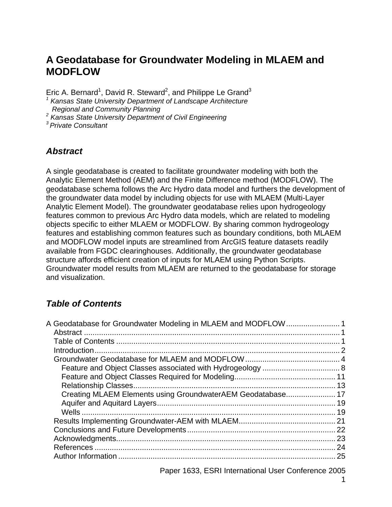# **A Geodatabase for Groundwater Modeling in MLAEM and MODFLOW**

Eric A. Bernard<sup>1</sup>, David R. Steward<sup>2</sup>, and Philippe Le Grand<sup>3</sup>

<sup>1</sup> Kansas State University Department of Landscape Architecture

 *Regional and Community Planning* 

*2 Kansas State University Department of Civil Engineering* 

*3 Private Consultant*

# *Abstract*

A single geodatabase is created to facilitate groundwater modeling with both the Analytic Element Method (AEM) and the Finite Difference method (MODFLOW). The geodatabase schema follows the Arc Hydro data model and furthers the development of the groundwater data model by including objects for use with MLAEM (Multi-Layer Analytic Element Model). The groundwater geodatabase relies upon hydrogeology features common to previous Arc Hydro data models, which are related to modeling objects specific to either MLAEM or MODFLOW. By sharing common hydrogeology features and establishing common features such as boundary conditions, both MLAEM and MODFLOW model inputs are streamlined from ArcGIS feature datasets readily available from FGDC clearinghouses. Additionally, the groundwater geodatabase structure affords efficient creation of inputs for MLAEM using Python Scripts. Groundwater model results from MLAEM are returned to the geodatabase for storage and visualization.

# *Table of Contents*

| A Geodatabase for Groundwater Modeling in MLAEM and MODFLOW 1 |    |
|---------------------------------------------------------------|----|
|                                                               |    |
|                                                               |    |
|                                                               |    |
|                                                               |    |
|                                                               |    |
|                                                               |    |
|                                                               |    |
| Creating MLAEM Elements using GroundwaterAEM Geodatabase 17   |    |
|                                                               |    |
|                                                               |    |
|                                                               |    |
|                                                               |    |
|                                                               |    |
|                                                               |    |
|                                                               | 25 |
|                                                               |    |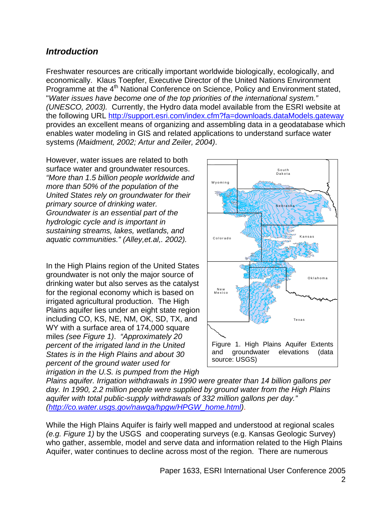# *Introduction*

Freshwater resources are critically important worldwide biologically, ecologically, and economically. Klaus Toepfer, Executive Director of the United Nations Environment Programme at the 4<sup>th</sup> National Conference on Science, Policy and Environment stated, "*Water issues have become one of the top priorities of the international system." (UNESCO, 2003).* Currently, the Hydro data model available from the ESRI website at the following URL http://support.esri.com/index.cfm?fa=downloads.dataModels.gateway provides an excellent means of organizing and assembling data in a geodatabase which enables water modeling in GIS and related applications to understand surface water systems *(Maidment, 2002; Artur and Zeiler, 2004)*.

However, water issues are related to both surface water and groundwater resources. *"More than 1.5 billion people worldwide and more than 50% of the population of the United States rely on groundwater for their primary source of drinking water. Groundwater is an essential part of the hydrologic cycle and is important in sustaining streams, lakes, wetlands, and aquatic communities." (Alley,et.al,. 2002).* 

In the High Plains region of the United States groundwater is not only the major source of drinking water but also serves as the catalyst for the regional economy which is based on irrigated agricultural production. The High Plains aquifer lies under an eight state region including CO, KS, NE, NM, OK, SD, TX, and WY with a surface area of 174,000 square miles *(see Figure 1)*. *"Approximately 20 percent of the irrigated land in the United States is in the High Plains and about 30 percent of the ground water used for irrigation in the U.S. is pumped from the High* 



*Plains aquifer. Irrigation withdrawals in 1990 were greater than 14 billion gallons per day. In 1990, 2.2 million people were supplied by ground water from the High Plains aquifer with total public-supply withdrawals of 332 million gallons per day." (http://co.water.usgs.gov/nawqa/hpgw/HPGW\_home.html)*.

While the High Plains Aquifer is fairly well mapped and understood at regional scales *(e.g. Figure 1)* by the USGS and cooperating surveys (e.g. Kansas Geologic Survey) who gather, assemble, model and serve data and information related to the High Plains Aquifer, water continues to decline across most of the region. There are numerous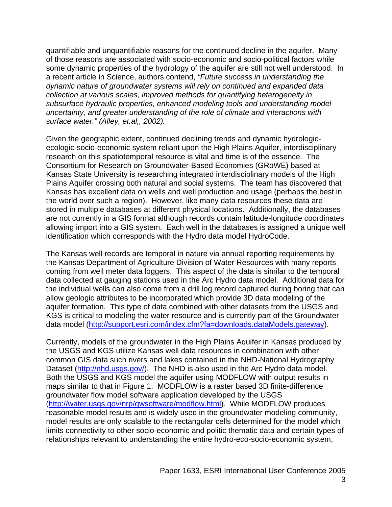quantifiable and unquantifiable reasons for the continued decline in the aquifer. Many of those reasons are associated with socio-economic and socio-political factors while some dynamic properties of the hydrology of the aquifer are still not well understood. In a recent article in Science, authors contend, *"Future success in understanding the dynamic nature of groundwater systems will rely on continued and expanded data collection at various scales, improved methods for quantifying heterogeneity in subsurface hydraulic properties, enhanced modeling tools and understanding model uncertainty, and greater understanding of the role of climate and interactions with surface water." (Alley, et.al,, 2002).*

Given the geographic extent, continued declining trends and dynamic hydrologicecologic-socio-economic system reliant upon the High Plains Aquifer, interdisciplinary research on this spatiotemporal resource is vital and time is of the essence. The Consortium for Research on Groundwater-Based Economies (GRoWE) based at Kansas State University is researching integrated interdisciplinary models of the High Plains Aquifer crossing both natural and social systems. The team has discovered that Kansas has excellent data on wells and well production and usage (perhaps the best in the world over such a region). However, like many data resources these data are stored in multiple databases at different physical locations. Additionally, the databases are not currently in a GIS format although records contain latitude-longitude coordinates allowing import into a GIS system. Each well in the databases is assigned a unique well identification which corresponds with the Hydro data model HydroCode.

The Kansas well records are temporal in nature via annual reporting requirements by the Kansas Department of Agriculture Division of Water Resources with many reports coming from well meter data loggers. This aspect of the data is similar to the temporal data collected at gauging stations used in the Arc Hydro data model. Additional data for the individual wells can also come from a drill log record captured during boring that can allow geologic attributes to be incorporated which provide 3D data modeling of the aquifer formation. This type of data combined with other datasets from the USGS and KGS is critical to modeling the water resource and is currently part of the Groundwater data model (http://support.esri.com/index.cfm?fa=downloads.dataModels.gateway).

Currently, models of the groundwater in the High Plains Aquifer in Kansas produced by the USGS and KGS utilize Kansas well data resources in combination with other common GIS data such rivers and lakes contained in the NHD-National Hydrography Dataset (http://nhd.usgs.gov/). The NHD is also used in the Arc Hydro data model. Both the USGS and KGS model the aquifer using MODFLOW with output results in maps similar to that in Figure 1. MODFLOW is a raster based 3D finite-difference groundwater flow model software application developed by the USGS (http://water.usgs.gov/nrp/gwsoftware/modflow.html). While MODFLOW produces reasonable model results and is widely used in the groundwater modeling community, model results are only scalable to the rectangular cells determined for the model which limits connectivity to other socio-economic and politic thematic data and certain types of relationships relevant to understanding the entire hydro-eco-socio-economic system,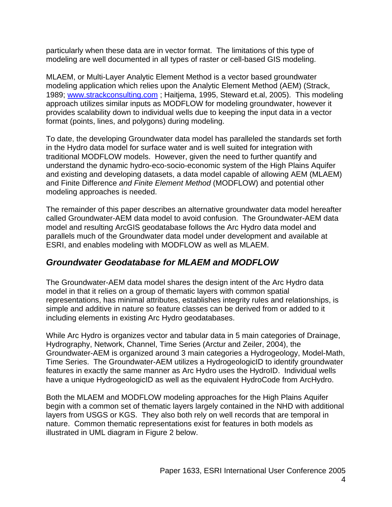particularly when these data are in vector format. The limitations of this type of modeling are well documented in all types of raster or cell-based GIS modeling.

MLAEM, or Multi-Layer Analytic Element Method is a vector based groundwater modeling application which relies upon the Analytic Element Method (AEM) (Strack, 1989; www.strackconsulting.com ; Haitjema, 1995, Steward et.al, 2005). This modeling approach utilizes similar inputs as MODFLOW for modeling groundwater, however it provides scalability down to individual wells due to keeping the input data in a vector format (points, lines, and polygons) during modeling.

To date, the developing Groundwater data model has paralleled the standards set forth in the Hydro data model for surface water and is well suited for integration with traditional MODFLOW models. However, given the need to further quantify and understand the dynamic hydro-eco-socio-economic system of the High Plains Aquifer and existing and developing datasets, a data model capable of allowing AEM (MLAEM) and Finite Difference *and Finite Element Method* (MODFLOW) and potential other modeling approaches is needed.

The remainder of this paper describes an alternative groundwater data model hereafter called Groundwater-AEM data model to avoid confusion. The Groundwater-AEM data model and resulting ArcGIS geodatabase follows the Arc Hydro data model and parallels much of the Groundwater data model under development and available at ESRI, and enables modeling with MODFLOW as well as MLAEM.

# *Groundwater Geodatabase for MLAEM and MODFLOW*

The Groundwater-AEM data model shares the design intent of the Arc Hydro data model in that it relies on a group of thematic layers with common spatial representations, has minimal attributes, establishes integrity rules and relationships, is simple and additive in nature so feature classes can be derived from or added to it including elements in existing Arc Hydro geodatabases.

While Arc Hydro is organizes vector and tabular data in 5 main categories of Drainage, Hydrography, Network, Channel, Time Series (Arctur and Zeiler, 2004), the Groundwater-AEM is organized around 3 main categories a Hydrogeology, Model-Math, Time Series. The Groundwater-AEM utilizes a HydrogeologicID to identify groundwater features in exactly the same manner as Arc Hydro uses the HydroID. Individual wells have a unique HydrogeologicID as well as the equivalent HydroCode from ArcHydro.

Both the MLAEM and MODFLOW modeling approaches for the High Plains Aquifer begin with a common set of thematic layers largely contained in the NHD with additional layers from USGS or KGS. They also both rely on well records that are temporal in nature. Common thematic representations exist for features in both models as illustrated in UML diagram in Figure 2 below.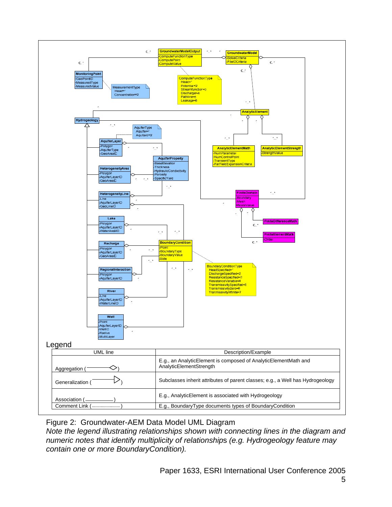

Figure 2: Groundwater-AEM Data Model UML Diagram

*Note the legend illustrating relationships shown with connecting lines in the diagram and numeric notes that identify multiplicity of relationship*s *(e.g. Hydrogeology feature may contain one or more BoundaryCondition).*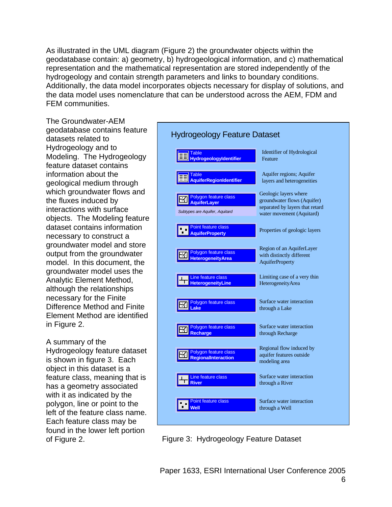As illustrated in the UML diagram (Figure 2) the groundwater objects within the geodatabase contain: a) geometry, b) hydrogeological information, and c) mathematical representation and the mathematical representation are stored independently of the hydrogeology and contain strength parameters and links to boundary conditions. Additionally, the data model incorporates objects necessary for display of solutions, and the data model uses nomenclature that can be understood across the AEM, FDM and FEM communities.

The Groundwater-AEM geodatabase contains feature datasets related to Hydrogeology and to Modeling. The Hydrogeology feature dataset contains information about the geological medium through which groundwater flows and the fluxes induced by interactions with surface objects. The Modeling feature dataset contains information necessary to construct a groundwater model and store output from the groundwater model. In this document, the groundwater model uses the Analytic Element Method, although the relationships necessary for the Finite Difference Method and Finite Element Method are identified in Figure 2.

### A summary of the

Hydrogeology feature dataset is shown in figure 3. Each object in this dataset is a feature class, meaning that is has a geometry associated with it as indicated by the polygon, line or point to the left of the feature class name. Each feature class may be found in the lower left portion of Figure 2.



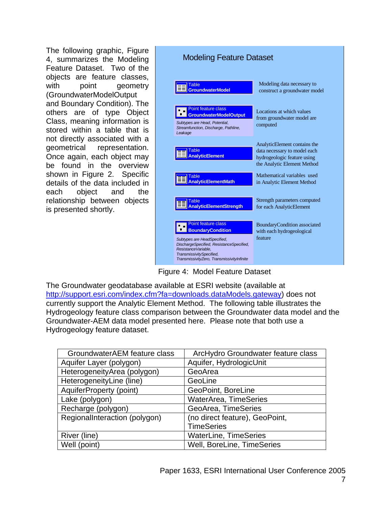The following graphic, Figure 4, summarizes the Modeling Feature Dataset. Two of the objects are feature classes, with point geometry (GroundwaterModelOutput and Boundary Condition). The others are of type Object Class, meaning information is stored within a table that is not directly associated with a geometrical representation. Once again, each object may be found in the overview shown in Figure 2. Specific details of the data included in each object and the relationship between objects is presented shortly.



Figure 4: Model Feature Dataset

The Groundwater geodatabase available at ESRI website (available at http://support.esri.com/index.cfm?fa=downloads.dataModels.gateway) does not currently support the Analytic Element Method. The following table illustrates the Hydrogeology feature class comparison between the Groundwater data model and the Groundwater-AEM data model presented here. Please note that both use a Hydrogeology feature dataset.

| GroundwaterAEM feature class  | ArcHydro Groundwater feature class |
|-------------------------------|------------------------------------|
| Aquifer Layer (polygon)       | Aquifer, HydrologicUnit            |
| HeterogeneityArea (polygon)   | GeoArea                            |
| HeterogeneityLine (line)      | GeoLine                            |
| AquiferProperty (point)       | GeoPoint, BoreLine                 |
| Lake (polygon)                | <b>WaterArea, TimeSeries</b>       |
| Recharge (polygon)            | GeoArea, TimeSeries                |
| RegionalInteraction (polygon) | (no direct feature), GeoPoint,     |
|                               | <b>TimeSeries</b>                  |
| River (line)                  | <b>WaterLine, TimeSeries</b>       |
| Well (point)                  | Well, BoreLine, TimeSeries         |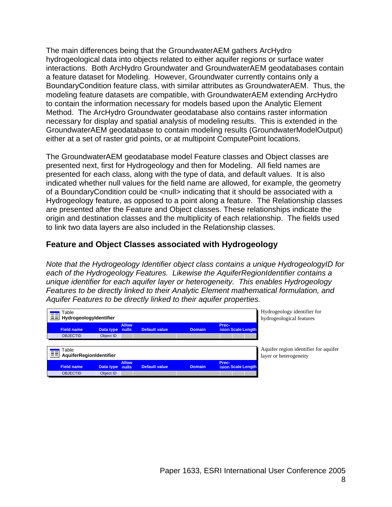The main differences being that the GroundwaterAEM gathers ArcHydro hydrogeological data into objects related to either aquifer regions or surface water interactions. Both ArcHydro Groundwater and GroundwaterAEM geodatabases contain a feature dataset for Modeling. However, Groundwater currently contains only a BoundaryCondition feature class, with similar attributes as GroundwaterAEM. Thus, the modeling feature datasets are compatible, with GroundwaterAEM extending ArcHydro to contain the information necessary for models based upon the Analytic Element Method. The ArcHydro Groundwater geodatabase also contains raster information necessary for display and spatial analysis of modeling results. This is extended in the GroundwaterAEM geodatabase to contain modeling results (GroundwaterModelOutput) either at a set of raster grid points, or at multipoint ComputePoint locations.

The GroundwaterAEM geodatabase model Feature classes and Object classes are presented next, first for Hydrogeology and then for Modeling. All field names are presented for each class, along with the type of data, and default values. It is also indicated whether null values for the field name are allowed, for example, the geometry of a BoundaryCondition could be <null> indicating that it should be associated with a Hydrogeology feature, as opposed to a point along a feature. The Relationship classes are presented after the Feature and Object classes. These relationships indicate the origin and destination classes and the multiplicity of each relationship. The fields used to link two data layers are also included in the Relationship classes.

### **Feature and Object Classes associated with Hydrogeology**

*Note that the Hydrogeology Identifier object class contains a unique HydrogeologyID for each of the Hydrogeology Features. Likewise the AquiferRegionIdentifier contains a unique identifier for each aquifer layer or heterogeneity. This enables Hydrogeology Features to be directly linked to their Analytic Element mathematical formulation, and Aquifer Features to be directly linked to their aquifer properties.* 

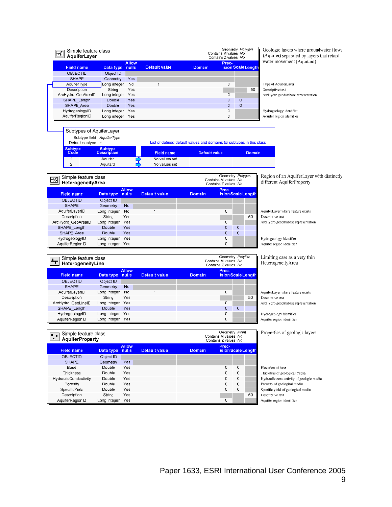| Simple feature class<br>⊠<br>AquiferLayer |                                  |                       |                      |                      | Geometry Polygon<br>Contains M values No<br>Contains Z values No      | Geologic layers where groundwater flows<br>(Aquifer) separated by layers that retard |
|-------------------------------------------|----------------------------------|-----------------------|----------------------|----------------------|-----------------------------------------------------------------------|--------------------------------------------------------------------------------------|
| <b>Field name</b>                         | Data type                        | <b>Allow</b><br>nulls | <b>Default value</b> | <b>Domain</b>        | Prec-<br>ision Scale Length                                           | water movement (Aquitard)                                                            |
| <b>OBJECTID</b>                           | Object ID                        |                       |                      |                      |                                                                       |                                                                                      |
| <b>SHAPE</b>                              | Geometry                         | Yes                   |                      |                      |                                                                       |                                                                                      |
| AquiferType                               | Long integer                     | No                    | 1                    |                      | 0                                                                     | Type of AquiferLayer                                                                 |
| Description                               | String                           | Yes                   |                      |                      | 50                                                                    | Descriptive text                                                                     |
| ArcHydro GeoArealD                        | Long integer                     | Yes                   |                      |                      | 0                                                                     | ArcHydro geodatabase representation                                                  |
| SHAPE_Length                              | Double                           | Yes                   |                      |                      | 0<br>$\overline{0}$                                                   |                                                                                      |
| SHAPE Area                                | Double                           | Yes                   |                      |                      | O<br>0                                                                |                                                                                      |
| HydrogeologyID<br>AquiferRegionID         | Long integer                     | Yes<br>Yes            |                      |                      | 0<br>0                                                                | Hydrogeology identifier                                                              |
|                                           | Long integer                     |                       |                      |                      |                                                                       | Aquifer region identifier                                                            |
| Subtypes of AquiferLayer                  |                                  |                       |                      |                      |                                                                       |                                                                                      |
|                                           | Subtype field AquiferType        |                       |                      |                      |                                                                       |                                                                                      |
| Default subtype 1                         |                                  |                       |                      |                      | List of defined default values and domains for subtypes in this class |                                                                                      |
| <b>Subtype</b>                            | <b>Subtype</b>                   |                       |                      |                      |                                                                       |                                                                                      |
| Code                                      | <b>Description</b>               |                       | <b>Field name</b>    | <b>Default value</b> | <b>Domain</b>                                                         |                                                                                      |
| $\mathbf{1}$                              | Aquifer                          |                       | No values set        |                      |                                                                       |                                                                                      |
| $\overline{2}$                            | Aquitard                         |                       | No values set        |                      |                                                                       |                                                                                      |
|                                           |                                  |                       |                      |                      |                                                                       |                                                                                      |
| Simple feature class<br>$\boxtimes$       |                                  |                       |                      |                      | Geometry Polygon<br>Contains M values No                              | Region of an AquiferLayer with distinctly                                            |
| HeterogeneityArea                         |                                  |                       |                      |                      | Contains Z values No                                                  | different AquiferProperty                                                            |
| <b>Field name</b>                         |                                  | <b>Allow</b><br>nulls | <b>Default value</b> | Domain               | Prec-<br>ision Scale Length                                           |                                                                                      |
|                                           | Data type<br>Object ID           |                       |                      |                      |                                                                       |                                                                                      |
| OBJECTID<br><b>SHAPE</b>                  |                                  | <b>Nc</b>             |                      |                      |                                                                       |                                                                                      |
| AquiferLayerID                            | Geometry<br>Long integer         | Nc                    | 1                    |                      | C                                                                     | AquiferLayer where feature exists                                                    |
| Description                               | String                           | Yes                   |                      |                      | 50                                                                    | Descriptive text                                                                     |
| ArcHydro_GeoAreaID                        | Long integer                     | Yes                   |                      |                      | C                                                                     | ArcHydro geodatabase representation                                                  |
| SHAPE Length                              | Double                           | Yes                   |                      |                      | $\mathbf C$<br>C                                                      |                                                                                      |
| SHAPE Area                                | Double                           | Yes                   |                      |                      | $\mathbf C$<br>C                                                      |                                                                                      |
| HydrogeologyID                            | Long integer Yes                 |                       |                      |                      | C                                                                     | Hydrogeology identifier                                                              |
| AquiferRegionID                           | Long integer                     | Yes                   |                      |                      | C                                                                     | Aquifer region identifier                                                            |
|                                           |                                  |                       |                      |                      |                                                                       |                                                                                      |
| Simple feature class                      |                                  |                       |                      |                      | Geometry Polyline                                                     | Limiting case as a very thin                                                         |
| т<br>HeterogeneityLine                    |                                  |                       |                      |                      | Contains M values No<br>Contains Z values No                          | HeterogeneityArea                                                                    |
|                                           |                                  | <b>Allow</b>          |                      |                      | Prec-                                                                 |                                                                                      |
| <b>Field name</b>                         | Data type                        | nulls                 | <b>Default value</b> | <b>Domain</b>        | ision Scale Length                                                    |                                                                                      |
| <b>OBJECTID</b>                           | Object ID                        |                       |                      |                      |                                                                       |                                                                                      |
| <b>SHAPE</b>                              | Geometry                         | No                    |                      |                      |                                                                       |                                                                                      |
| AquiferLayerID                            | Long integer                     | Nc                    | 1                    |                      | C                                                                     | AquiferLayer where feature exists                                                    |
| Description                               | String                           | Yes                   |                      |                      | 50                                                                    | Descriptive text                                                                     |
| ArcHydro GeoLineID                        | Long integer Yes                 |                       |                      |                      | C                                                                     | ArcHydro geodatabase representation                                                  |
| SHAPE Length                              | Double                           | Yes                   |                      |                      | C<br>C                                                                |                                                                                      |
| HydrogeologyID                            | Long integer<br>Long integer Yes | Yes                   |                      |                      | C<br>C                                                                | Hydrogeology identifier                                                              |
| AquiferRegionID                           |                                  |                       |                      |                      |                                                                       | Aquifer region identifier                                                            |
|                                           |                                  |                       |                      |                      |                                                                       |                                                                                      |
| Simple feature class<br>٠.                |                                  |                       |                      |                      | Geometry Point<br>Contains M values No                                | Properties of geologic layers                                                        |
| $\blacksquare$<br><b>AquiferProperty</b>  |                                  |                       |                      |                      | Contains Z values No                                                  |                                                                                      |
| <b>Field name</b>                         | Data type                        | <b>Allow</b><br>nulls | <b>Default value</b> | <b>Domain</b>        | Prec-<br>ision Scale Length                                           |                                                                                      |
| OBJECTID                                  | Object ID                        |                       |                      |                      |                                                                       |                                                                                      |
| <b>SHAPE</b>                              | Geometry                         | Yes                   |                      |                      |                                                                       |                                                                                      |
| Base                                      | Double                           | Yes                   |                      |                      | C<br>C                                                                | Elevation of base                                                                    |
| Thickness                                 | Double                           | Yes                   |                      |                      | $\mathbf C$<br>C                                                      | Thickness of geological media                                                        |
| HydraulicConductivity                     | Double                           | Yes                   |                      |                      | C<br>C                                                                | Hydraulic conductivity of geologic media                                             |
| Porosity                                  | Double                           | Yes                   |                      |                      | C<br>C                                                                | Porosity of geological media                                                         |
| SpecificYield                             | Double                           | Yes                   |                      |                      | C<br>C                                                                | Specific yield of geological media                                                   |
| Description                               | String                           | Yes                   |                      |                      | 50                                                                    | Descriptive text                                                                     |
| AquiferRegionID                           | Long integer Yes                 |                       |                      |                      | C                                                                     | Aquifer region identifier                                                            |
|                                           |                                  |                       |                      |                      |                                                                       |                                                                                      |
|                                           |                                  |                       |                      |                      |                                                                       |                                                                                      |
|                                           |                                  |                       |                      |                      |                                                                       |                                                                                      |
|                                           |                                  |                       |                      |                      |                                                                       |                                                                                      |
|                                           |                                  |                       |                      |                      |                                                                       |                                                                                      |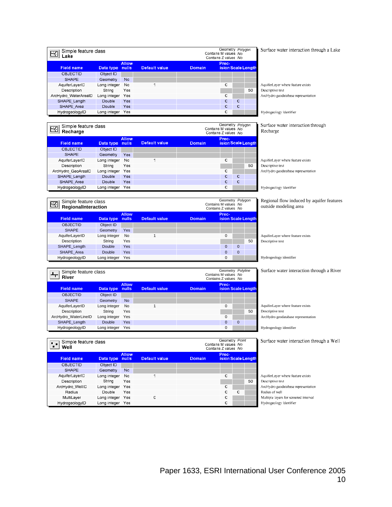| Simple feature class<br>Lake | Geometry Polygon<br>Contains M values No<br>Contains Z values No |              |               |               |       |   |                    |
|------------------------------|------------------------------------------------------------------|--------------|---------------|---------------|-------|---|--------------------|
| <b>Field name</b>            | Data type nulls                                                  | <b>Allow</b> | Default value | <b>Domain</b> | Prec- |   | ision Scale Length |
| <b>OBJECTID</b>              | Object ID                                                        |              |               |               |       |   |                    |
| <b>SHAPE</b>                 | Geometry                                                         | <b>No</b>    |               |               |       |   |                    |
| AquiferLayerID               | Long integer                                                     | No           | ×,            |               | C     |   |                    |
| Description                  | String                                                           | Yes          |               |               |       |   | 50                 |
| ArcHydro WaterAreaID         | Long integer                                                     | Yes          |               |               | C     |   |                    |
| SHAPE Length                 | Double                                                           | Yes          |               |               | C     | C |                    |
| SHAPE Area                   | Double                                                           | Yes          |               |               | C     | c |                    |
| HydrogeologyID               | Long integer                                                     | Yes          |               |               | C     |   |                    |

Surface water interaction through a Lake

AquiferLayer where feature exists Descriptive text ArcHydro geodatabase representation

Hydrogeology identifier

#### Surface water interaction through echarge

| Simple feature class<br>至<br>Recharge | Geometry Polygon<br>Contains M values No<br>Contains Z values No |              |                      |        |       |   |                    |    |
|---------------------------------------|------------------------------------------------------------------|--------------|----------------------|--------|-------|---|--------------------|----|
| <b>Field name</b>                     | Data type nulls                                                  | <b>Allow</b> | <b>Default value</b> | Domain | Prec- |   | ision Scale Length |    |
| <b>OBJECTID</b>                       | Object ID                                                        |              |                      |        |       |   |                    |    |
| <b>SHAPE</b>                          | Geometry                                                         | Yes          |                      |        |       |   |                    |    |
| AquiferLayerID                        | Long integer                                                     | No           | ٠                    |        | C     |   |                    | A۱ |
| Description                           | String                                                           | Yes          |                      |        |       |   | 50                 | D. |
| ArcHydro GeoAreaID                    | Long integer                                                     | Yes          |                      |        | C     |   |                    | Aı |
| SHAPE Length                          | Double                                                           | Yes          |                      |        | C     | C |                    |    |
| SHAPE Area                            | Double                                                           | Yes          |                      |        | C     | C |                    |    |
| HydrogeologyID                        | Long integer                                                     | Yes          |                      |        | C     |   |                    | н  |

| $\boxtimes$       | Geometry Polygon<br>Simple feature class<br>Contains M values No<br>RegionalInteraction<br>Contains Z values No |                       |                      |               |          |          |                           |
|-------------------|-----------------------------------------------------------------------------------------------------------------|-----------------------|----------------------|---------------|----------|----------|---------------------------|
| <b>Field name</b> | Data type                                                                                                       | <b>Allow</b><br>nulls | <b>Default value</b> | <b>Domain</b> | Prec-    |          | <b>ision Scale Length</b> |
| <b>OBJECTID</b>   | Object ID                                                                                                       |                       |                      |               |          |          |                           |
| <b>SHAPE</b>      | Geometry                                                                                                        | Yes                   |                      |               |          |          |                           |
| AquiferLayerID    | Long integer                                                                                                    | No                    |                      |               | 0        |          |                           |
| Description       | String                                                                                                          | Yes                   |                      |               |          |          | 50                        |
| SHAPE Length      | Double                                                                                                          | Yes                   |                      |               | $\Omega$ | $\Omega$ |                           |
| SHAPE Area        | Double                                                                                                          | Yes                   |                      |               | $\Omega$ | $\Omega$ |                           |
| HydrogeologyID    | Long integer                                                                                                    | Yes                   |                      |               | $\Omega$ |          |                           |

**River** Contains M values No. 2014<br> **River** Contains Z values No. 2014

SHAPE\_Length Double Yes 0 0 0

Default value

 $\overline{1}$ 

 $\overline{\mathbf{C}}$ 

**Allow nulls**

Allow<br>Data type nulls

 $Nc$ 

 $N<sub>c</sub>$ 

Yes

Yes

Yes

Object ID

Long integer

String

Long integer

Double

Long integer Yes

Long integer Yes

Geometry

Simple feature class<br>River

Simple feature class

**Field name OBJECTID** 

SHAPE

AquiferLayerID

Description

ArcHydro\_WellID

Radius

MultiLayer

HydrogeologyID

 $+$ 

**Field name Data type**

OBJECTID Object ID SHAPE Geometry No<br>AquiferLayerID Long integer No

| AquiferLayer where feature exists   |
|-------------------------------------|
| Descriptive text                    |
| ArcHydro geodatabase representation |

ydrogeology identifier

#### Regional flow induced by aquifer features outside modeling area

AquiferLayer where feature exists Descriptive text

Hydrogeology identifier

Geometry *Polyline*

Geometry Point<br>Contains M values No<br>Contains Z values No

 $\overline{c}$ 

 $\mathbf{C}$ 

 $\mathtt{C}$  $\overline{\text{C}}$ 

 $\mathtt{C}$ 

 $\mathbf{C}$ 

Prec-<br>ision Scale Length

50

Geometry Polygon

**Prec-Default value Domain ision Scale Length**

Domain

Surface water interaction through a River

AquiferLayerID Long integer No 1<br>
Description String Yes 1 1 0 AquiferLayer where feature exists<br>
Descriptive text Description String Yes 50 Descriptive text ArcHydro\_WaterLineID Long integer Yes 0 ArcHydro geodatabase representation

HydrogeologyID Long integer Yes 0 Hydrogeology identifier

Surface water interaction through a Well

AquiferLayer where feature exists Descriptive text ArcHydro geodatabase representation Radius of well Multiple layers for screened interval Hydrogeology identifier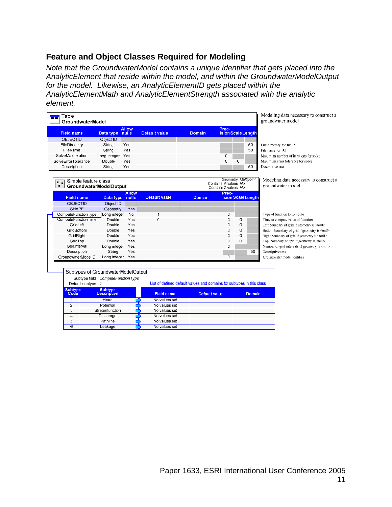# **Feature and Object Classes Required for Modeling**

*Note that the GroundwaterModel contains a unique identifier that gets placed into the AnalyticElement that reside within the model, and within the GroundwaterModelOutput for the model. Likewise, an AnalyticElementID gets placed within the AnalyticElementMath and AnalyticElementStrength associated with the analytic element.* 

|                     | Table<br>GroundwaterModel                      |                                      |              |                                                                       |                      |                                              |                     | Modeling data necessary to construct a<br>groundwater model |  |
|---------------------|------------------------------------------------|--------------------------------------|--------------|-----------------------------------------------------------------------|----------------------|----------------------------------------------|---------------------|-------------------------------------------------------------|--|
|                     | <b>Field name</b>                              | Data type nulls                      | <b>Allow</b> | <b>Default value</b>                                                  | Domain               | Prec-                                        | ision Scale Length  |                                                             |  |
|                     | <b>OBJECTID</b>                                | Object ID                            |              |                                                                       |                      |                                              |                     |                                                             |  |
|                     | FileDirectory                                  | String                               | Yes          |                                                                       |                      |                                              | 50                  | File directory for file I/O                                 |  |
|                     | FileName                                       | String                               | Yes          |                                                                       |                      |                                              | 50                  | File name for i/O                                           |  |
|                     | SolveMaxIteration                              | Long integer                         | Yes          |                                                                       |                      | C                                            |                     | Maximum number of iterations for solve                      |  |
|                     | SolveErrorTolerance                            | Double                               | Yes          |                                                                       |                      | C                                            | C                   | Maximum error tolerance for solve                           |  |
|                     | Description                                    | String                               | Yes          |                                                                       |                      |                                              | 50                  | Descriptive text                                            |  |
|                     |                                                |                                      |              |                                                                       |                      |                                              |                     |                                                             |  |
| $\blacksquare$<br>п | Simple feature class<br>GroundwaterModelOutput |                                      |              |                                                                       |                      | Contains M values No<br>Contains Z values No | Geometry Multipoint | Modeling data necessary to construct a<br>groundwater model |  |
|                     |                                                |                                      | <b>Allow</b> |                                                                       |                      | Prec-                                        |                     |                                                             |  |
|                     | <b>Field name</b>                              | Data type nulls                      |              | <b>Default value</b>                                                  | <b>Domain</b>        |                                              | ision Scale Length  |                                                             |  |
|                     | <b>OBJECTID</b>                                | Object ID                            |              |                                                                       |                      |                                              |                     |                                                             |  |
|                     | <b>SHAPE</b>                                   | Geometry                             | Yes          |                                                                       |                      |                                              |                     |                                                             |  |
|                     | ComputeFunctionType                            | Long integer                         | No           | $\overline{1}$                                                        |                      | 0                                            |                     | Type of function to compute                                 |  |
|                     | <b>ComputeFunctionTime</b>                     | Double                               | Yes          | $\mathbf 0$                                                           |                      | 0                                            | 0                   | Time to compute value of function                           |  |
|                     | GridLeft                                       | Double                               | Yes          |                                                                       |                      | 0                                            | 0                   | Left boundary of grid if geometry is <null></null>          |  |
|                     | GridBottom                                     | Double                               | Yes          |                                                                       |                      | 0                                            | 0                   | Bottom boundary of grid if geometry is <null></null>        |  |
|                     | GridRight                                      | Double                               | Yes          |                                                                       |                      | 0                                            | O                   | Right boundary of grid if geometry is <null></null>         |  |
|                     | GridTop                                        | Double                               | Yes          |                                                                       |                      | O                                            | O                   | Top boundary of grid if geometry is <null></null>           |  |
|                     | GridInterval                                   | Long integer                         | Yes          |                                                                       |                      | O                                            |                     | Number of grid intervals if geometry is <null></null>       |  |
|                     | Description                                    | String                               | Yes          |                                                                       |                      |                                              | 50                  | Descriptive text                                            |  |
|                     | GroundwaterModelID                             | Long integer Yes                     |              |                                                                       |                      | O                                            |                     | Groundwater model idntifier                                 |  |
|                     | Subtypes of GroundwaterModelOutput             |                                      |              |                                                                       |                      |                                              |                     |                                                             |  |
|                     | Default subtype 1                              | Subtype field ComputeFunctionType    |              | List of defined default values and domains for subtypes in this class |                      |                                              |                     |                                                             |  |
|                     | <b>Subtype</b><br>Code                         | <b>Subtype</b><br><b>Description</b> |              | <b>Field name</b>                                                     | <b>Default value</b> |                                              | <b>Domain</b>       |                                                             |  |
|                     | 1                                              | Head                                 |              | No values set                                                         |                      |                                              |                     |                                                             |  |
|                     | $\overline{2}$                                 | Potential                            |              | No values set                                                         |                      |                                              |                     |                                                             |  |
|                     | 3                                              | Streamfunction                       |              | No values set                                                         |                      |                                              |                     |                                                             |  |
|                     | $\overline{4}$                                 | Discharge                            |              | No values set                                                         |                      |                                              |                     |                                                             |  |
|                     | $\overline{5}$                                 | Pathline                             |              | No values set                                                         |                      |                                              |                     |                                                             |  |
|                     | $\overline{6}$                                 | Leakage                              |              | No values set                                                         |                      |                                              |                     |                                                             |  |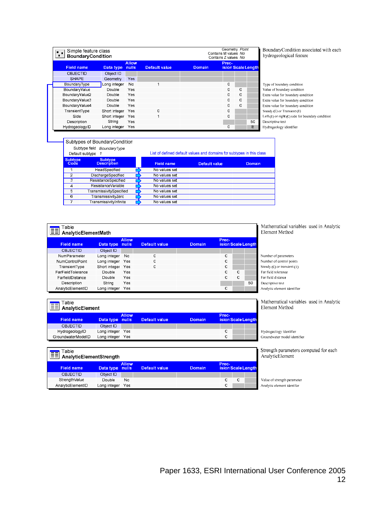| Simple feature class<br>$\mathbf{r}$ .<br><b>BoundaryCondition</b><br>. . |               | Geometry Point<br>Contains M values No<br>Contains Z values No |                      |               |                             |          |    |
|---------------------------------------------------------------------------|---------------|----------------------------------------------------------------|----------------------|---------------|-----------------------------|----------|----|
| <b>Field name</b>                                                         | Data type     | <b>Allow</b><br>nulls                                          | <b>Default value</b> | <b>Domain</b> | Prec-<br>ision Scale Length |          |    |
| <b>OBJECTID</b>                                                           | Object ID     |                                                                |                      |               |                             |          |    |
| <b>SHAPE</b>                                                              | Geometry      | Yes                                                            |                      |               |                             |          |    |
| BoundaryType                                                              | Long integer  | No                                                             | 1                    |               | 0                           |          |    |
| BoundaryValue                                                             | Double        | Yes                                                            |                      |               | $\Omega$                    | $\Omega$ |    |
| BoundaryValue2                                                            | Double        | Yes                                                            |                      |               | O                           | $\Omega$ |    |
| BoundaryValue3                                                            | Double        | Yes                                                            |                      |               | O                           | 0        |    |
| BoundaryValue4                                                            | Double        | Yes                                                            |                      |               | $\Omega$                    | 0        |    |
| TransientType                                                             | Short integer | Yes                                                            | O                    |               | O                           |          |    |
| Side                                                                      | Short integer | Yes                                                            | 1                    |               | 0                           |          |    |
| Description                                                               | String        | Yes                                                            |                      |               |                             |          | 50 |
| HydrogeologyID                                                            | Long integer  | Yes                                                            |                      |               | O                           |          | E  |

BoundaryCondition associated with each hydrogeological feature

Type of boundary condition Value of boundary condition Extra value for boundary condition Extra value for boundary condition Extra value for boundary condition Steady (C) or Transient (1) Left (1) or right (C) side for boundary condition Descriptive text Hydrogeology identifier

|                        | Subtypes of BoundaryCondition        |                   |                                                                       |        |
|------------------------|--------------------------------------|-------------------|-----------------------------------------------------------------------|--------|
|                        | Subtype field<br>BoundaryType        |                   |                                                                       |        |
| Default subtype        |                                      |                   | List of defined default values and domains for subtypes in this class |        |
| <b>Subtype</b><br>Code | <b>Subtype</b><br><b>Description</b> | <b>Field name</b> | Default value                                                         | Domain |
| 1                      | HeadSpecified                        | No values set     |                                                                       |        |
| 2                      | DischargeSpecified                   | No values set     |                                                                       |        |
| 3                      | <b>ResistanceSpecified</b>           | No values set     |                                                                       |        |
| $\overline{4}$         | ResistanceVariable                   | No values set     |                                                                       |        |
| 5                      | <b>TransmissivitySpecified</b>       | No values set     |                                                                       |        |
| 6                      | TransmissivityZerc                   | No values set     |                                                                       |        |
|                        | TransmissivityInfinite               | No values set     |                                                                       |        |

| Table<br>围<br>AnalyticElementMath |                 |              |               |               |       |                    |    |  |  |
|-----------------------------------|-----------------|--------------|---------------|---------------|-------|--------------------|----|--|--|
| <b>Field name</b>                 | Data type nulls | <b>Allow</b> | Default value | <b>Domain</b> | Prec- | ision Scale Length |    |  |  |
| <b>OBJECTID</b>                   | Object ID       |              |               |               |       |                    |    |  |  |
| NumParameter                      | Long integer    | No           | C             |               | C     |                    |    |  |  |
| <b>NumControlPoint</b>            | Long integer    | Yes          | C             |               | C     |                    |    |  |  |
| TransientType                     | Short integer   | Yes          | C             |               | C     |                    |    |  |  |
| FarFieldTolerance                 | Double          | Yes          |               |               | C     | C                  |    |  |  |
| FarfieldDistance                  | Double          | Yes          |               |               | C     | C                  |    |  |  |
| Description                       | String          | Yes          |               |               |       |                    | 50 |  |  |
| AnalyticElementID                 | Long integer    | Yes          |               |               | C     |                    |    |  |  |

thematical variables used in Analytic ment Method

ther of parameters ther of control points dy (C) or transient (1) field tolerance field distance criptive text lytic element identifier

Mathematical variables used in Analytic Element Method

Hydrogeology identifier Groundwater model identifier

Strength parameters computed for each AnalyticElement

Value of strength parameter Analytic element identifer

| HydrogeologyID                    | Long integer    | Yes          |               |               | C     |   |                    |  |
|-----------------------------------|-----------------|--------------|---------------|---------------|-------|---|--------------------|--|
| GroundwaterModelID                | Long integer    | Yes          |               |               | C     |   |                    |  |
|                                   |                 |              |               |               |       |   |                    |  |
| Table                             |                 |              |               |               |       |   |                    |  |
| <u>EE</u> AnalyticElementStrength |                 |              |               |               |       |   |                    |  |
|                                   |                 | <b>Allow</b> |               |               | Prec- |   |                    |  |
| <b>Field name</b>                 | Data type nulls |              | Default value | <b>Domain</b> |       |   | ision Scale Length |  |
|                                   |                 |              |               |               |       |   |                    |  |
| <b>OBJECTID</b>                   | Object ID       |              |               |               |       |   |                    |  |
| StrengthValue                     | Double          | No           |               |               | C     | C |                    |  |

Default value

**Allow** 

Data type nulls

Object ID

Table <u>E≣</u> AnalyticElement

**Field name** 

OBJECTID

Prec-<br>ision Scale Length

Domain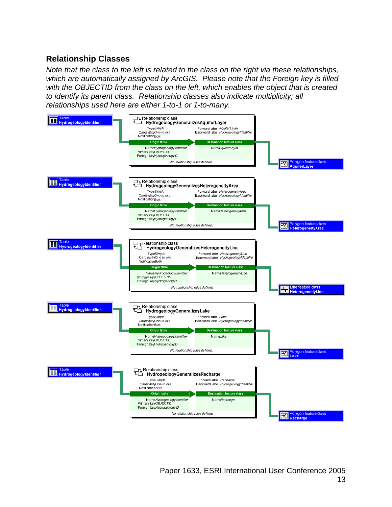# **Relationship Classes**

*Note that the class to the left is related to the class on the right via these relationships, which are automatically assigned by ArcGIS. Please note that the Foreign key is filled with the OBJECTID from the class on the left, which enables the object that is created to identify its parent class. Relationship classes also indicate multiplicity; all relationships used here are either 1-to-1 or 1-to-many.* 

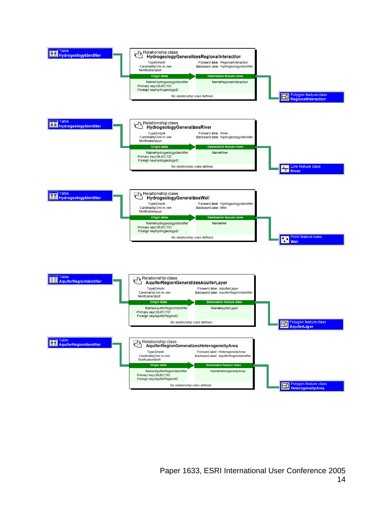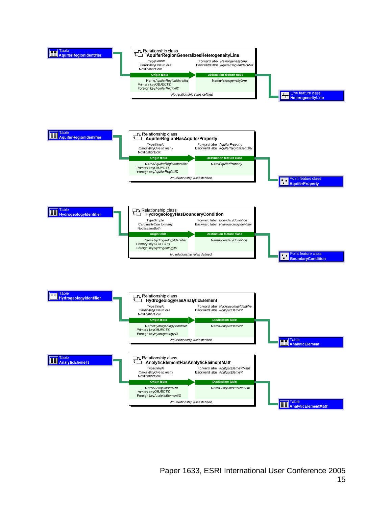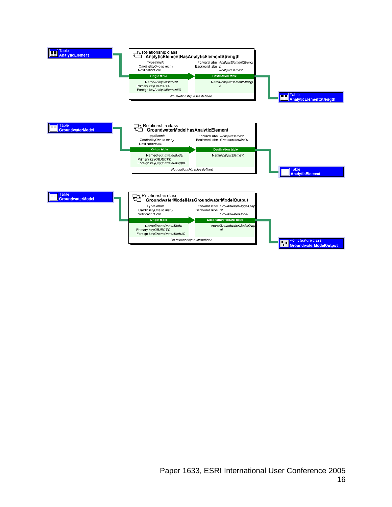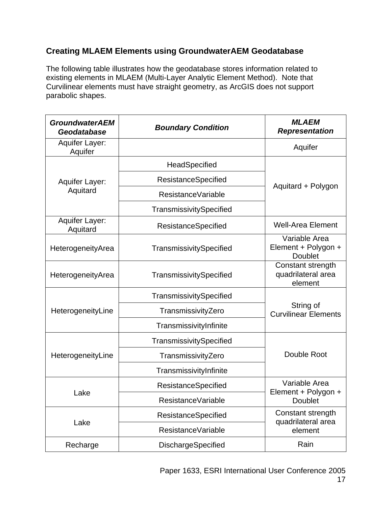# **Creating MLAEM Elements using GroundwaterAEM Geodatabase**

The following table illustrates how the geodatabase stores information related to existing elements in MLAEM (Multi-Layer Analytic Element Method). Note that Curvilinear elements must have straight geometry, as ArcGIS does not support parabolic shapes.

| <b>GroundwaterAEM</b><br>Geodatabase | <b>Boundary Condition</b>  |                                                        |  |
|--------------------------------------|----------------------------|--------------------------------------------------------|--|
| Aquifer Layer:<br>Aquifer            |                            | Aquifer                                                |  |
|                                      | HeadSpecified              |                                                        |  |
| Aquifer Layer:                       | <b>ResistanceSpecified</b> | Aquitard + Polygon                                     |  |
| Aquitard                             | ResistanceVariable         |                                                        |  |
|                                      | TransmissivitySpecified    |                                                        |  |
| Aquifer Layer:<br>Aquitard           | <b>ResistanceSpecified</b> | <b>Well-Area Element</b>                               |  |
| HeterogeneityArea                    | TransmissivitySpecified    | Variable Area<br>Element + Polygon +<br><b>Doublet</b> |  |
| HeterogeneityArea                    | TransmissivitySpecified    | Constant strength<br>quadrilateral area<br>element     |  |
|                                      | TransmissivitySpecified    |                                                        |  |
| HeterogeneityLine                    | TransmissivityZero         | String of<br><b>Curvilinear Elements</b>               |  |
|                                      | TransmissivityInfinite     |                                                        |  |
|                                      | TransmissivitySpecified    |                                                        |  |
| HeterogeneityLine                    | TransmissivityZero         | Double Root                                            |  |
|                                      | TransmissivityInfinite     |                                                        |  |
|                                      | ResistanceSpecified        | Variable Area<br>Element + Polygon +                   |  |
| Lake                                 | ResistanceVariable         | <b>Doublet</b>                                         |  |
|                                      | <b>ResistanceSpecified</b> | Constant strength<br>quadrilateral area                |  |
| Lake                                 | ResistanceVariable         | element                                                |  |
| Recharge                             | DischargeSpecified         | Rain                                                   |  |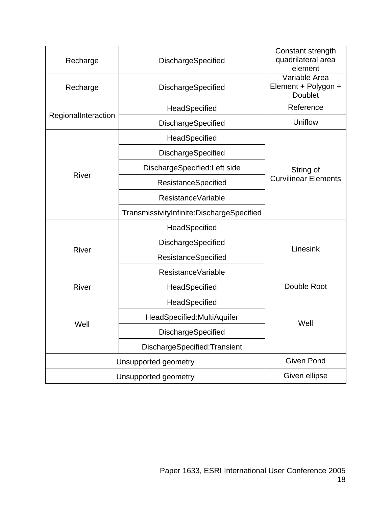| Recharge            | <b>DischargeSpecified</b>                 | Constant strength<br>quadrilateral area<br>element     |  |  |  |
|---------------------|-------------------------------------------|--------------------------------------------------------|--|--|--|
| Recharge            | DischargeSpecified                        | Variable Area<br>Element + Polygon +<br><b>Doublet</b> |  |  |  |
|                     | HeadSpecified                             | Reference                                              |  |  |  |
| RegionalInteraction | <b>DischargeSpecified</b>                 | Uniflow                                                |  |  |  |
|                     | HeadSpecified                             |                                                        |  |  |  |
|                     | DischargeSpecified                        |                                                        |  |  |  |
|                     | DischargeSpecified:Left side              | String of                                              |  |  |  |
| <b>River</b>        | ResistanceSpecified                       | <b>Curvilinear Elements</b>                            |  |  |  |
|                     | ResistanceVariable                        |                                                        |  |  |  |
|                     | TransmissivityInfinite:DischargeSpecified |                                                        |  |  |  |
|                     | HeadSpecified                             |                                                        |  |  |  |
|                     | DischargeSpecified                        | Linesink                                               |  |  |  |
| <b>River</b>        | <b>ResistanceSpecified</b>                |                                                        |  |  |  |
|                     | ResistanceVariable                        |                                                        |  |  |  |
| River               | HeadSpecified                             | Double Root                                            |  |  |  |
|                     | HeadSpecified                             |                                                        |  |  |  |
|                     | HeadSpecified: MultiAquifer               | Well                                                   |  |  |  |
| Well                | DischargeSpecified                        |                                                        |  |  |  |
|                     | DischargeSpecified:Transient              |                                                        |  |  |  |
|                     | Unsupported geometry                      |                                                        |  |  |  |
|                     | Unsupported geometry                      |                                                        |  |  |  |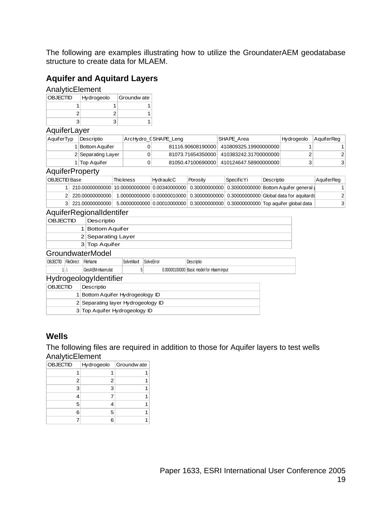The following are examples illustrating how to utilize the GroundaterAEM geodatabase structure to create data for MLAEM.

### **Aquifer and Aquitard Layers**

### **AnalyticElement**

| <b>OBJECTID</b> | Hydrogeolo | Groundw ate |
|-----------------|------------|-------------|
|                 |            |             |
|                 |            |             |
|                 |            |             |

#### **AquiferLaver**

| AquiferTyp | Descriptio         | ArcHydro_CSHAPE_Leng | <b>SHAPE Area</b>     | Hydrogeolo | AquiferReg |
|------------|--------------------|----------------------|-----------------------|------------|------------|
|            | Bottom Aquif er    | 81116.90608190000    | 410809325.19900000000 |            |            |
|            | 2 Separating Layer | 81073.71654350000    | 410383242.31700000000 |            |            |
|            | l ∣Top Aquifer     | 81050.47100690000    | 410124647.58900000000 |            | 3          |

#### **AquiferProperty**

| OBJECTID Base |                   | Thickness | HydraulicC | Porosity | SpecificYi | Descriptio                                                                                                   | AquiferReg     |
|---------------|-------------------|-----------|------------|----------|------------|--------------------------------------------------------------------------------------------------------------|----------------|
|               |                   |           |            |          |            | , 210.00000000000   10.0000000000   0.00340000000   0.30000000000   0.3000000000   Bottom Aquifer general (∣ |                |
|               | 2 220.00000000000 |           |            |          |            | 1.00000000000 0.00000010000 0.3000000000 0.3000000000 Global data for aquitards                              | $\overline{2}$ |
|               | 3 221.00000000000 |           |            |          |            | 5.00000000000 0.00010000000 0.3000000000 0.3000000000 Top aquifer global data                                | 3              |

### AquiferRegionalIdentifer

| <b>OBJECTID</b>                    |                                | Descriptio       |                       |            |  |                                           |  |  |  |  |
|------------------------------------|--------------------------------|------------------|-----------------------|------------|--|-------------------------------------------|--|--|--|--|
|                                    |                                |                  | <b>Bottom Aquifer</b> |            |  |                                           |  |  |  |  |
|                                    |                                |                  | 2 Separating Layer    |            |  |                                           |  |  |  |  |
|                                    |                                | 3 Top Aquifer    |                       |            |  |                                           |  |  |  |  |
|                                    | GroundwaterModel               |                  |                       |            |  |                                           |  |  |  |  |
| OBJECTID                           | FileDirect                     | FileName         | SolveMaxIt            | SolveError |  | Descriptio                                |  |  |  |  |
|                                    | 11.1                           | GeoAEM-mlaem.dat |                       |            |  | 0.00000100000 Basic model for mlaem input |  |  |  |  |
|                                    | HydrogeologyIdentifier         |                  |                       |            |  |                                           |  |  |  |  |
|                                    | <b>OBJECTID</b><br>Descriptio  |                  |                       |            |  |                                           |  |  |  |  |
|                                    | Bottom Aquifer Hydrogeology ID |                  |                       |            |  |                                           |  |  |  |  |
| 2 Separating layer Hydrogeology ID |                                |                  |                       |            |  |                                           |  |  |  |  |

|  |  | 3 Top Aquifer Hydrogeology ID |  |
|--|--|-------------------------------|--|
|--|--|-------------------------------|--|

### **Wells**

The following files are required in addition to those for Aquifer layers to test wells AnalyticElement

| <b>OBJECTID</b> | Hydrogeolo | Groundw ate |
|-----------------|------------|-------------|
| 1               |            |             |
| 2               | 2          |             |
| 3               | 3          |             |
|                 |            |             |
| 5               |            |             |
| 6               | 5          |             |
|                 | 6          |             |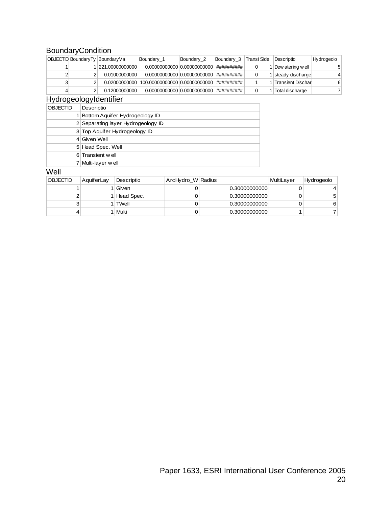### **BoundaryCondition**

|   | OBJECTID Boundary Ty Boundary Va | Boundary 1 | Boundary 2 | Boundary 3 | Transi Side | Descriptio           | Hydrogeolo |
|---|----------------------------------|------------|------------|------------|-------------|----------------------|------------|
|   | 221.00000000000                  |            |            | ########## |             | Dew atering well     |            |
|   | 0.01000000000                    |            |            | ########## |             | steady discharge     |            |
| 3 |                                  |            |            | ########## |             | I Transient Discharl | 6          |
|   | 0.12000000000                    |            |            | ########## |             | Total discharge      |            |

### HydrogeologyIdentifier

| <b>OBJECTID</b> | Descriptio                         |
|-----------------|------------------------------------|
|                 | Bottom Aquifer Hydrogeology ID     |
|                 | 2 Separating layer Hydrogeology ID |
|                 | 3 Top Aquifer Hydrogeology ID      |
|                 | 4 Given Well                       |
|                 | 5 Head Spec. Well                  |
|                 | 6 Transient w ell                  |
|                 | 7 Multi-layer well                 |

### **Well**

| <b>OBJECTID</b> | AquiferLay | Descriptio   | ArcHydro_W Radius |               | MultiLayer | Hydrogeolo |
|-----------------|------------|--------------|-------------------|---------------|------------|------------|
|                 |            | l Given      |                   | 0.30000000000 |            |            |
|                 |            | 1 Head Spec. |                   | 0.30000000000 |            |            |
| د               |            | 1 l TWell    |                   | 0.30000000000 |            | 6          |
|                 |            | Multi        |                   | 0.30000000000 |            |            |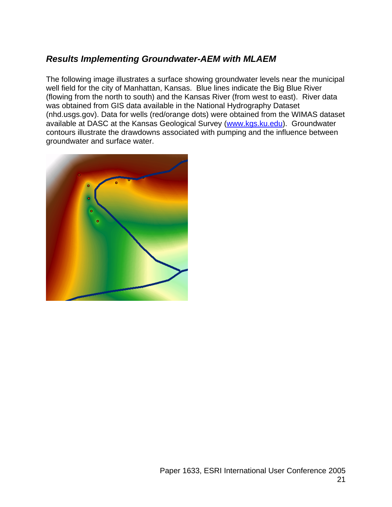# *Results Implementing Groundwater-AEM with MLAEM*

The following image illustrates a surface showing groundwater levels near the municipal well field for the city of Manhattan, Kansas. Blue lines indicate the Big Blue River (flowing from the north to south) and the Kansas River (from west to east). River data was obtained from GIS data available in the National Hydrography Dataset (nhd.usgs.gov). Data for wells (red/orange dots) were obtained from the WIMAS dataset available at DASC at the Kansas Geological Survey (www.kgs.ku.edu). Groundwater contours illustrate the drawdowns associated with pumping and the influence between groundwater and surface water.

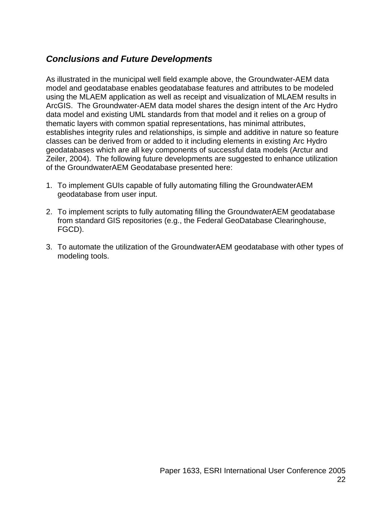# *Conclusions and Future Developments*

As illustrated in the municipal well field example above, the Groundwater-AEM data model and geodatabase enables geodatabase features and attributes to be modeled using the MLAEM application as well as receipt and visualization of MLAEM results in ArcGIS. The Groundwater-AEM data model shares the design intent of the Arc Hydro data model and existing UML standards from that model and it relies on a group of thematic layers with common spatial representations, has minimal attributes, establishes integrity rules and relationships, is simple and additive in nature so feature classes can be derived from or added to it including elements in existing Arc Hydro geodatabases which are all key components of successful data models (Arctur and Zeiler, 2004). The following future developments are suggested to enhance utilization of the GroundwaterAEM Geodatabase presented here:

- 1. To implement GUIs capable of fully automating filling the GroundwaterAEM geodatabase from user input.
- 2. To implement scripts to fully automating filling the GroundwaterAEM geodatabase from standard GIS repositories (e.g., the Federal GeoDatabase Clearinghouse, FGCD).
- 3. To automate the utilization of the GroundwaterAEM geodatabase with other types of modeling tools.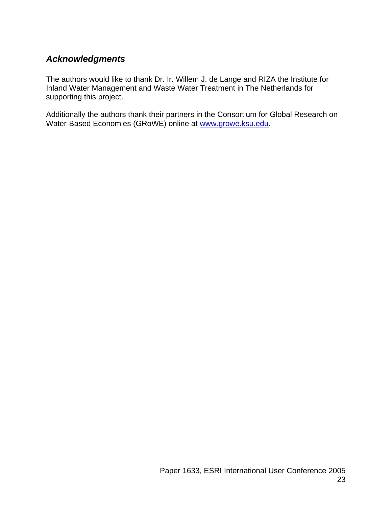# *Acknowledgments*

The authors would like to thank Dr. Ir. Willem J. de Lange and RIZA the Institute for Inland Water Management and Waste Water Treatment in The Netherlands for supporting this project.

Additionally the authors thank their partners in the Consortium for Global Research on Water-Based Economies (GRoWE) online at www.growe.ksu.edu.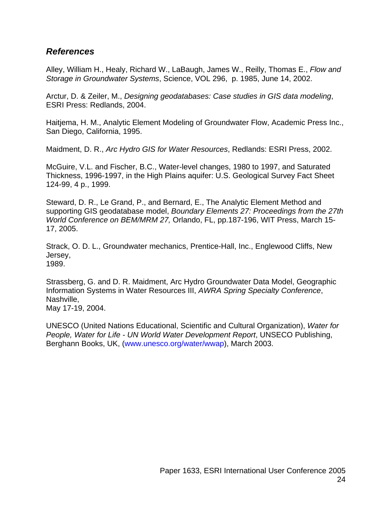### *References*

Alley, William H., Healy, Richard W., LaBaugh, James W., Reilly, Thomas E., *Flow and Storage in Groundwater Systems*, Science, VOL 296, p. 1985, June 14, 2002.

Arctur, D. & Zeiler, M., *Designing geodatabases: Case studies in GIS data modeling*, ESRI Press: Redlands, 2004.

Haitjema, H. M., Analytic Element Modeling of Groundwater Flow, Academic Press Inc., San Diego, California, 1995.

Maidment, D. R., *Arc Hydro GIS for Water Resources*, Redlands: ESRI Press, 2002.

McGuire, V.L. and Fischer, B.C., Water-level changes, 1980 to 1997, and Saturated Thickness, 1996-1997, in the High Plains aquifer: U.S. Geological Survey Fact Sheet 124-99, 4 p., 1999.

Steward, D. R., Le Grand, P., and Bernard, E., The Analytic Element Method and supporting GIS geodatabase model, *Boundary Elements 27: Proceedings from the 27th World Conference on BEM/MRM 27,* Orlando, FL, pp.187-196, WIT Press, March 15- 17, 2005.

Strack, O. D. L., Groundwater mechanics, Prentice-Hall, Inc., Englewood Cliffs, New Jersey, 1989.

Strassberg, G. and D. R. Maidment, Arc Hydro Groundwater Data Model, Geographic Information Systems in Water Resources III, *AWRA Spring Specialty Conference*, Nashville, May 17-19, 2004.

UNESCO (United Nations Educational, Scientific and Cultural Organization), *Water for People, Water for Life - UN World Water Development Report*, UNSECO Publishing, Berghann Books, UK, (www.unesco.org/water/wwap), March 2003.